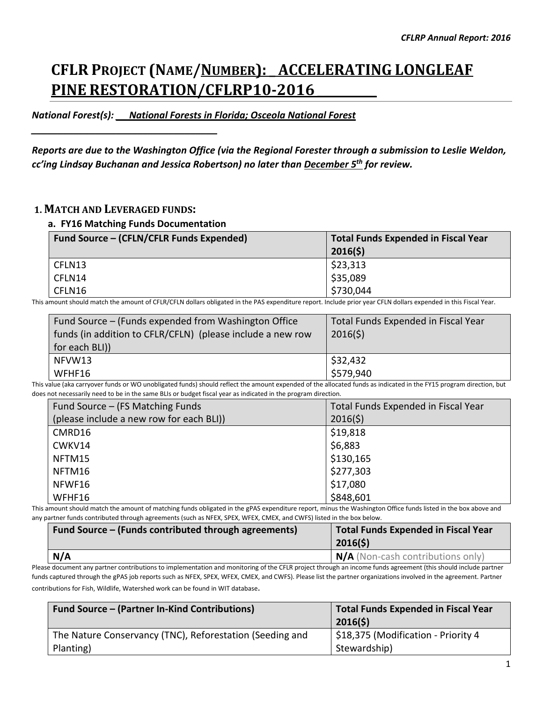# **CFLR PROJECT (NAME/NUMBER):\_ ACCELERATING LONGLEAF PINE RESTORATION/CFLRP10-2016 \_\_\_\_\_\_\_\_\_\_**

*National Forest(s): \_\_ National Forests in Florida; Osceola National Forest* 

*Reports are due to the Washington Office (via the Regional Forester through a submission to Leslie Weldon, cc'ing Lindsay Buchanan and Jessica Robertson) no later than December 5th for review.* 

#### **1. MATCH AND LEVERAGED FUNDS:**

*\_\_\_\_\_\_\_\_\_\_\_\_\_\_\_\_\_\_\_\_\_\_\_\_\_\_\_\_\_\_\_\_\_\_\_*

#### **a. FY16 Matching Funds Documentation**

| Fund Source – (CFLN/CFLR Funds Expended) | <b>Total Funds Expended in Fiscal Year</b><br>2016(5) |
|------------------------------------------|-------------------------------------------------------|
| CFLN13                                   | \$23,313                                              |
| CFLN14                                   | \$35,089                                              |
| CFLN16                                   | \$730,044                                             |

This amount should match the amount of CFLR/CFLN dollars obligated in the PAS expenditure report. Include prior year CFLN dollars expended in this Fiscal Year.

| Fund Source – (Funds expended from Washington Office<br>funds (in addition to CFLR/CFLN) (please include a new row<br>for each BLI)) | Total Funds Expended in Fiscal Year<br>2016(5) |
|--------------------------------------------------------------------------------------------------------------------------------------|------------------------------------------------|
| NFVW13                                                                                                                               | \$32,432                                       |
| WFHF16                                                                                                                               | \$579,940                                      |

This value (aka carryover funds or WO unobligated funds) should reflect the amount expended of the allocated funds as indicated in the FY15 program direction, but does not necessarily need to be in the same BLIs or budget fiscal year as indicated in the program direction.

| Fund Source - (FS Matching Funds         | Total Funds Expended in Fiscal Year |
|------------------------------------------|-------------------------------------|
| (please include a new row for each BLI)) | 2016(5)                             |
| CMRD16                                   | \$19,818                            |
| CWKV14                                   | \$6,883                             |
| NFTM15                                   | \$130,165                           |
| NFTM16                                   | \$277,303                           |
| NFWF16                                   | \$17,080                            |
| WFHF16                                   | \$848,601                           |

This amount should match the amount of matching funds obligated in the gPAS expenditure report, minus the Washington Office funds listed in the box above and any partner funds contributed through agreements (such as NFEX, SPEX, WFEX, CMEX, and CWFS) listed in the box below.

| Fund Source – (Funds contributed through agreements) | Total Funds Expended in Fiscal Year<br>2016(5) |
|------------------------------------------------------|------------------------------------------------|
| N/A                                                  | $\mathsf{N/A}$ (Non-cash contributions only)   |

Please document any partner contributions to implementation and monitoring of the CFLR project through an income funds agreement (this should include partner funds captured through the gPAS job reports such as NFEX, SPEX, WFEX, CMEX, and CWFS). Please list the partner organizations involved in the agreement. Partner contributions for Fish, Wildlife, Watershed work can be found in WIT database.

| <b>Fund Source - (Partner In-Kind Contributions)</b>     | <b>Total Funds Expended in Fiscal Year</b><br>2016(5) |
|----------------------------------------------------------|-------------------------------------------------------|
| The Nature Conservancy (TNC), Reforestation (Seeding and | \$18,375 (Modification - Priority 4                   |
| Planting)                                                | Stewardship)                                          |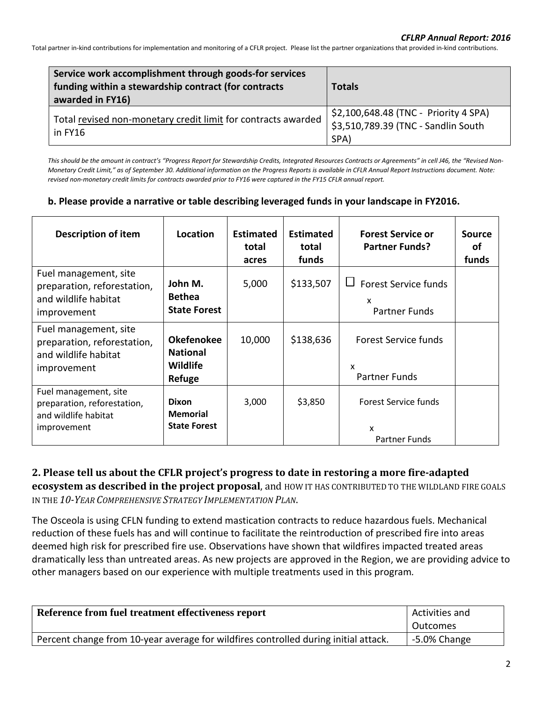Total partner in-kind contributions for implementation and monitoring of a CFLR project. Please list the partner organizations that provided in-kind contributions.

| Service work accomplishment through goods-for services<br>funding within a stewardship contract (for contracts<br>awarded in FY16) | <b>Totals</b>                                                                        |  |
|------------------------------------------------------------------------------------------------------------------------------------|--------------------------------------------------------------------------------------|--|
| Total revised non-monetary credit limit for contracts awarded<br>in FY16                                                           | \$2,100,648.48 (TNC - Priority 4 SPA)<br>\$3,510,789.39 (TNC - Sandlin South<br>SPA) |  |

*This should be the amount in contract's "Progress Report for Stewardship Credits, Integrated Resources Contracts or Agreements" in cell J46, the "Revised Non-Monetary Credit Limit," as of September 30. Additional information on the Progress Reports is available in CFLR Annual Report Instructions document. Note: revised non-monetary credit limits for contracts awarded prior to FY16 were captured in the FY15 CFLR annual report.*

#### **b. Please provide a narrative or table describing leveraged funds in your landscape in FY2016.**

| Description of item                                                                         | Location                                                   | <b>Estimated</b><br>total<br>acres | <b>Estimated</b><br>total<br>funds | <b>Forest Service or</b><br><b>Partner Funds?</b>                         | <b>Source</b><br>οf<br>funds |
|---------------------------------------------------------------------------------------------|------------------------------------------------------------|------------------------------------|------------------------------------|---------------------------------------------------------------------------|------------------------------|
| Fuel management, site<br>preparation, reforestation,<br>and wildlife habitat<br>improvement | John M.<br><b>Bethea</b><br><b>State Forest</b>            | 5,000                              | \$133,507                          | <b>Forest Service funds</b><br>x<br><b>Partner Funds</b>                  |                              |
| Fuel management, site<br>preparation, reforestation,<br>and wildlife habitat<br>improvement | <b>Okefenokee</b><br><b>National</b><br>Wildlife<br>Refuge | 10,000                             | \$138,636                          | Forest Service funds<br>X<br>Partner Funds                                |                              |
| Fuel management, site<br>preparation, reforestation,<br>and wildlife habitat<br>improvement | <b>Dixon</b><br><b>Memorial</b><br><b>State Forest</b>     | 3,000                              | \$3,850                            | Forest Service funds<br>$\boldsymbol{\mathsf{x}}$<br><b>Partner Funds</b> |                              |

### **2. Please tell us about the CFLR project's progress to date in restoring a more fire-adapted ecosystem as described in the project proposal**, and HOW IT HAS CONTRIBUTED TO THE WILDLAND FIRE GOALS IN THE *10-YEAR COMPREHENSIVE STRATEGY IMPLEMENTATION PLAN*.

The Osceola is using CFLN funding to extend mastication contracts to reduce hazardous fuels. Mechanical reduction of these fuels has and will continue to facilitate the reintroduction of prescribed fire into areas deemed high risk for prescribed fire use. Observations have shown that wildfires impacted treated areas dramatically less than untreated areas. As new projects are approved in the Region, we are providing advice to other managers based on our experience with multiple treatments used in this program*.*

| Reference from fuel treatment effectiveness report                                  | Activities and |
|-------------------------------------------------------------------------------------|----------------|
|                                                                                     | Outcomes       |
| Percent change from 10-year average for wildfires controlled during initial attack. | -5.0% Change   |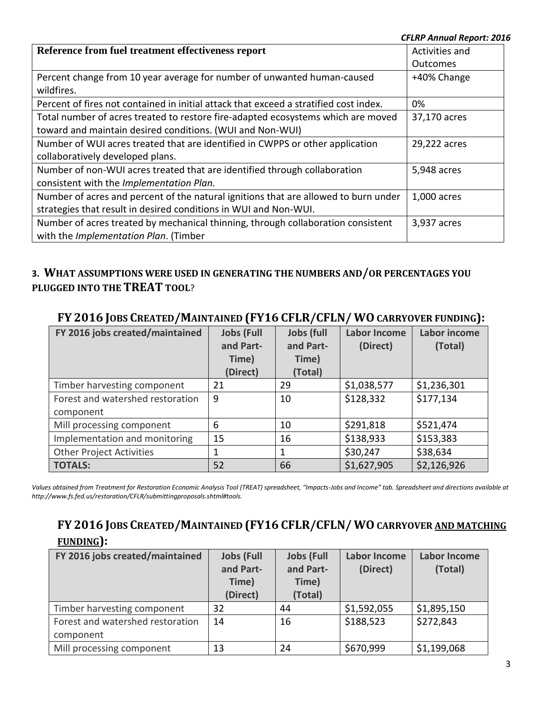| Reference from fuel treatment effectiveness report                                    | Activities and |
|---------------------------------------------------------------------------------------|----------------|
|                                                                                       | Outcomes       |
| Percent change from 10 year average for number of unwanted human-caused               | +40% Change    |
| wildfires.                                                                            |                |
| Percent of fires not contained in initial attack that exceed a stratified cost index. | 0%             |
| Total number of acres treated to restore fire-adapted ecosystems which are moved      | 37,170 acres   |
| toward and maintain desired conditions. (WUI and Non-WUI)                             |                |
| Number of WUI acres treated that are identified in CWPPS or other application         | 29,222 acres   |
| collaboratively developed plans.                                                      |                |
| Number of non-WUI acres treated that are identified through collaboration             | 5,948 acres    |
| consistent with the Implementation Plan.                                              |                |
| Number of acres and percent of the natural ignitions that are allowed to burn under   | 1,000 acres    |
| strategies that result in desired conditions in WUI and Non-WUI.                      |                |
| Number of acres treated by mechanical thinning, through collaboration consistent      | 3,937 acres    |
| with the <i>Implementation Plan</i> . (Timber                                         |                |

# **3. WHAT ASSUMPTIONS WERE USED IN GENERATING THE NUMBERS AND/OR PERCENTAGES YOU PLUGGED INTO THE TREAT TOOL**?

| FY 2016 jobs created/maintained  | <b>Jobs (Full</b><br>and Part-<br>Time)<br>(Direct) | <b>Jobs (full</b><br>and Part-<br>Time)<br>(Total) | <b>Labor Income</b><br>(Direct) | <b>Labor income</b><br>(Total) |
|----------------------------------|-----------------------------------------------------|----------------------------------------------------|---------------------------------|--------------------------------|
| Timber harvesting component      | 21                                                  | 29                                                 | \$1,038,577                     | \$1,236,301                    |
| Forest and watershed restoration | 9                                                   | 10                                                 | \$128,332                       | \$177,134                      |
| component                        |                                                     |                                                    |                                 |                                |
| Mill processing component        | 6                                                   | 10                                                 | \$291,818                       | \$521,474                      |
| Implementation and monitoring    | 15                                                  | 16                                                 | \$138,933                       | \$153,383                      |
| <b>Other Project Activities</b>  | 1                                                   |                                                    | \$30,247                        | \$38,634                       |
| <b>TOTALS:</b>                   | 52                                                  | 66                                                 | \$1,627,905                     | \$2,126,926                    |

### **FY 2016 JOBS CREATED/MAINTAINED (FY16 CFLR/CFLN/ WOCARRYOVER FUNDING):**

*Values obtained from Treatment for Restoration Economic Analysis Tool (TREAT) spreadsheet, "Impacts-Jobs and Income" tab. Spreadsheet and directions available at http://www.fs.fed.us/restoration/CFLR/submittingproposals.shtml#tools.* 

# **FY 2016 JOBS CREATED/MAINTAINED (FY16 CFLR/CFLN/ WOCARRYOVER AND MATCHING FUNDING):**

| FY 2016 jobs created/maintained  | <b>Jobs (Full</b><br>and Part-<br>Time)<br>(Direct) | <b>Jobs (Full</b><br>and Part-<br>Time)<br>(Total) | <b>Labor Income</b><br>(Direct) | <b>Labor Income</b><br>(Total) |
|----------------------------------|-----------------------------------------------------|----------------------------------------------------|---------------------------------|--------------------------------|
| Timber harvesting component      | 32                                                  | 44                                                 | \$1,592,055                     | \$1,895,150                    |
| Forest and watershed restoration | 14                                                  | 16                                                 | \$188,523                       | \$272,843                      |
| component                        |                                                     |                                                    |                                 |                                |
| Mill processing component        | 13                                                  | 24                                                 | \$670,999                       | \$1,199,068                    |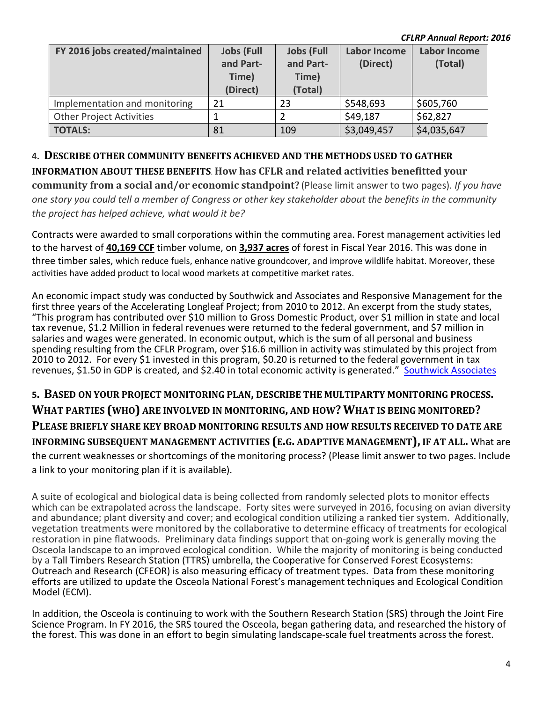| FY 2016 jobs created/maintained | <b>Jobs (Full</b><br>and Part-<br>Time)<br>(Direct) | <b>Jobs (Full</b><br>and Part-<br>Time)<br>(Total) | <b>Labor Income</b><br>(Direct) | <b>Labor Income</b><br>(Total) |
|---------------------------------|-----------------------------------------------------|----------------------------------------------------|---------------------------------|--------------------------------|
| Implementation and monitoring   | 21                                                  | 23                                                 | \$548,693                       | \$605,760                      |
| <b>Other Project Activities</b> |                                                     |                                                    | \$49,187                        | \$62,827                       |
| <b>TOTALS:</b>                  | 81                                                  | 109                                                | \$3,049,457                     | \$4,035,647                    |

### **4. DESCRIBE OTHER COMMUNITY BENEFITS ACHIEVED AND THE METHODS USED TO GATHER**

**INFORMATION ABOUT THESE BENEFITS**. **How has CFLR and related activities benefitted your community from a social and/or economic standpoint?** (Please limit answer to two pages). *If you have one story you could tell a member of Congress or other key stakeholder about the benefits in the community the project has helped achieve, what would it be?*

Contracts were awarded to small corporations within the commuting area. Forest management activities led to the harvest of **40,169 CCF** timber volume, on **3,937 acres** of forest in Fiscal Year 2016. This was done in three timber sales, which reduce fuels, enhance native groundcover, and improve wildlife habitat. Moreover, these activities have added product to local wood markets at competitive market rates.

An economic impact study was conducted by Southwick and Associates and Responsive Management for the first three years of the Accelerating Longleaf Project; from 2010 to 2012. An excerpt from the study states, "This program has contributed over \$10 million to Gross Domestic Product, over \$1 million in state and local tax revenue, \$1.2 Million in federal revenues were returned to the federal government, and \$7 million in salaries and wages were generated. In economic output, which is the sum of all personal and business spending resulting from the CFLR Program, over \$16.6 million in activity was stimulated by this project from 2010 to 2012. For every \$1 invested in this program, \$0.20 is returned to the federal government in tax revenues, \$1.50 in GDP is created, and \$2.40 in total economic activity is generated." [Southwick Associates](http://www.southwickassociates.com/cflrp-economic-impact-report/)

**5. BASED ON YOUR PROJECT MONITORING PLAN, DESCRIBE THE MULTIPARTY MONITORING PROCESS. WHAT PARTIES (WHO) ARE INVOLVED IN MONITORING, AND HOW? WHAT IS BEING MONITORED? PLEASE BRIEFLY SHARE KEY BROAD MONITORING RESULTS AND HOW RESULTS RECEIVED TO DATE ARE INFORMING SUBSEQUENT MANAGEMENT ACTIVITIES (E.G. ADAPTIVE MANAGEMENT), IF AT ALL.** What are the current weaknesses or shortcomings of the monitoring process? (Please limit answer to two pages. Include a link to your monitoring plan if it is available).

A suite of ecological and biological data is being collected from randomly selected plots to monitor effects which can be extrapolated across the landscape. Forty sites were surveyed in 2016, focusing on avian diversity and abundance; plant diversity and cover; and ecological condition utilizing a ranked tier system. Additionally, vegetation treatments were monitored by the collaborative to determine efficacy of treatments for ecological restoration in pine flatwoods. Preliminary data findings support that on-going work is generally moving the Osceola landscape to an improved ecological condition. While the majority of monitoring is being conducted by a Tall Timbers Research Station (TTRS) umbrella, the Cooperative for Conserved Forest Ecosystems: Outreach and Research (CFEOR) is also measuring efficacy of treatment types. Data from these monitoring efforts are utilized to update the Osceola National Forest's management techniques and Ecological Condition Model (ECM).

In addition, the Osceola is continuing to work with the Southern Research Station (SRS) through the Joint Fire Science Program. In FY 2016, the SRS toured the Osceola, began gathering data, and researched the history of the forest. This was done in an effort to begin simulating landscape-scale fuel treatments across the forest.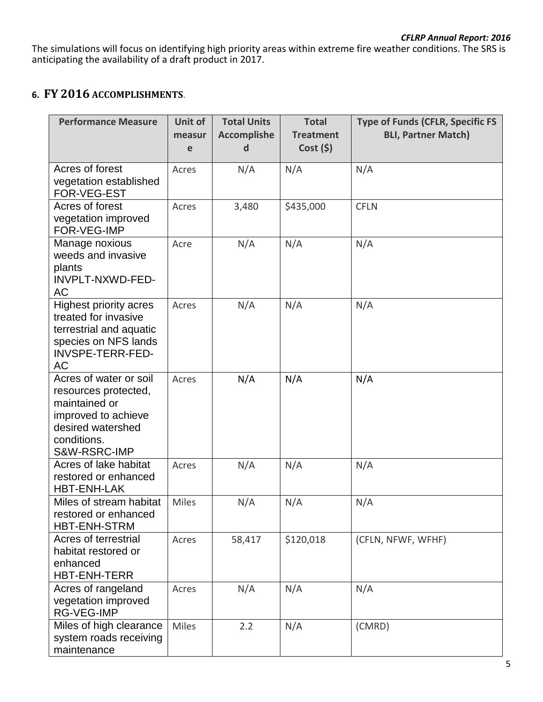The simulations will focus on identifying high priority areas within extreme fire weather conditions. The SRS is anticipating the availability of a draft product in 2017.

# **6. FY 2016 ACCOMPLISHMENTS**.

| <b>Performance Measure</b>            | Unit of      | <b>Total Units</b> | <b>Total</b>     | <b>Type of Funds (CFLR, Specific FS</b> |
|---------------------------------------|--------------|--------------------|------------------|-----------------------------------------|
|                                       | measur       | <b>Accomplishe</b> | <b>Treatment</b> | <b>BLI, Partner Match)</b>              |
|                                       | e            | d                  | Cost (5)         |                                         |
| Acres of forest                       | Acres        | N/A                | N/A              | N/A                                     |
| vegetation established                |              |                    |                  |                                         |
| <b>FOR-VEG-EST</b>                    |              |                    |                  |                                         |
| Acres of forest                       | Acres        | 3,480              | \$435,000        | <b>CFLN</b>                             |
| vegetation improved                   |              |                    |                  |                                         |
| FOR-VEG-IMP                           |              |                    |                  |                                         |
| Manage noxious                        | Acre         | N/A                | N/A              | N/A                                     |
| weeds and invasive                    |              |                    |                  |                                         |
| plants<br>INVPLT-NXWD-FED-            |              |                    |                  |                                         |
| AC                                    |              |                    |                  |                                         |
| <b>Highest priority acres</b>         | Acres        | N/A                | N/A              | N/A                                     |
| treated for invasive                  |              |                    |                  |                                         |
| terrestrial and aquatic               |              |                    |                  |                                         |
| species on NFS lands                  |              |                    |                  |                                         |
| <b>INVSPE-TERR-FED-</b>               |              |                    |                  |                                         |
| AC                                    |              |                    |                  |                                         |
| Acres of water or soil                | Acres        | N/A                | N/A              | N/A                                     |
| resources protected,                  |              |                    |                  |                                         |
| maintained or                         |              |                    |                  |                                         |
| improved to achieve                   |              |                    |                  |                                         |
| desired watershed                     |              |                    |                  |                                         |
| conditions.                           |              |                    |                  |                                         |
| S&W-RSRC-IMP<br>Acres of lake habitat |              |                    |                  |                                         |
| restored or enhanced                  | Acres        | N/A                | N/A              | N/A                                     |
| <b>HBT-ENH-LAK</b>                    |              |                    |                  |                                         |
| Miles of stream habitat               | <b>Miles</b> | N/A                | N/A              | N/A                                     |
| restored or enhanced                  |              |                    |                  |                                         |
| <b>HBT-ENH-STRM</b>                   |              |                    |                  |                                         |
| Acres of terrestrial                  | Acres        | 58,417             | \$120,018        | (CFLN, NFWF, WFHF)                      |
| habitat restored or                   |              |                    |                  |                                         |
| enhanced                              |              |                    |                  |                                         |
| <b>HBT-ENH-TERR</b>                   |              |                    |                  |                                         |
| Acres of rangeland                    | Acres        | N/A                | N/A              | N/A                                     |
| vegetation improved                   |              |                    |                  |                                         |
| RG-VEG-IMP                            |              |                    |                  |                                         |
| Miles of high clearance               | <b>Miles</b> | 2.2                | N/A              | (CMRD)                                  |
| system roads receiving                |              |                    |                  |                                         |
| maintenance                           |              |                    |                  |                                         |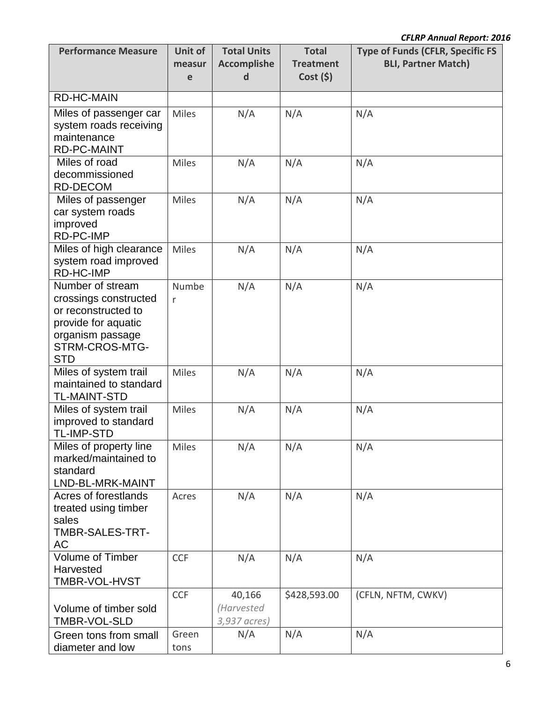| <b>Performance Measure</b>                                                                                                                  | <b>Unit of</b><br>measur<br>e | <b>Total Units</b><br><b>Accomplishe</b><br>d | <b>Total</b><br><b>Treatment</b><br>Cost (5) | <b>Type of Funds (CFLR, Specific FS</b><br><b>BLI, Partner Match)</b> |  |
|---------------------------------------------------------------------------------------------------------------------------------------------|-------------------------------|-----------------------------------------------|----------------------------------------------|-----------------------------------------------------------------------|--|
| <b>RD-HC-MAIN</b>                                                                                                                           |                               |                                               |                                              |                                                                       |  |
| Miles of passenger car<br>system roads receiving<br>maintenance<br><b>RD-PC-MAINT</b>                                                       | <b>Miles</b>                  | N/A                                           | N/A                                          | N/A                                                                   |  |
| Miles of road<br>decommissioned<br><b>RD-DECOM</b>                                                                                          | <b>Miles</b>                  | N/A                                           | N/A                                          | N/A                                                                   |  |
| Miles of passenger<br>car system roads<br>improved<br><b>RD-PC-IMP</b>                                                                      | <b>Miles</b>                  | N/A                                           | N/A                                          | N/A                                                                   |  |
| Miles of high clearance<br>system road improved<br><b>RD-HC-IMP</b>                                                                         | <b>Miles</b>                  | N/A                                           | N/A                                          | N/A                                                                   |  |
| Number of stream<br>crossings constructed<br>or reconstructed to<br>provide for aquatic<br>organism passage<br>STRM-CROS-MTG-<br><b>STD</b> | Numbe<br>r                    | N/A                                           | N/A                                          | N/A                                                                   |  |
| Miles of system trail<br>maintained to standard<br>TL-MAINT-STD                                                                             | <b>Miles</b>                  | N/A                                           | N/A                                          | N/A                                                                   |  |
| Miles of system trail<br>improved to standard<br><b>TL-IMP-STD</b>                                                                          | <b>Miles</b>                  | N/A                                           | N/A                                          | N/A                                                                   |  |
| Miles of property line<br>marked/maintained to<br>standard<br>LND-BL-MRK-MAINT                                                              | <b>Miles</b>                  | N/A                                           | N/A                                          | N/A                                                                   |  |
| Acres of forestlands<br>treated using timber<br>sales<br>TMBR-SALES-TRT-<br>АC                                                              | Acres                         | N/A                                           | N/A                                          | N/A                                                                   |  |
| <b>Volume of Timber</b><br>Harvested<br>TMBR-VOL-HVST                                                                                       | <b>CCF</b>                    | N/A                                           | N/A                                          | N/A                                                                   |  |
| Volume of timber sold<br>TMBR-VOL-SLD                                                                                                       | <b>CCF</b>                    | 40,166<br>(Harvested<br>3,937 acres)          | \$428,593.00                                 | (CFLN, NFTM, CWKV)                                                    |  |
| Green tons from small<br>diameter and low                                                                                                   | Green<br>tons                 | N/A                                           | N/A                                          | N/A                                                                   |  |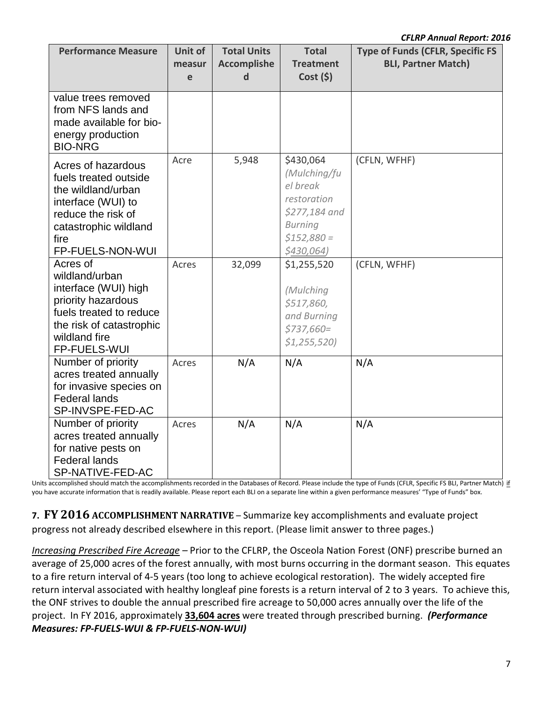| <b>Performance Measure</b>                                                                                                                                         | Unit of<br>measur<br>e | <b>Total Units</b><br><b>Accomplishe</b><br>d | <b>Total</b><br><b>Treatment</b><br>Cost(5)                                                                           | <b>Type of Funds (CFLR, Specific FS</b><br><b>BLI, Partner Match)</b> |
|--------------------------------------------------------------------------------------------------------------------------------------------------------------------|------------------------|-----------------------------------------------|-----------------------------------------------------------------------------------------------------------------------|-----------------------------------------------------------------------|
| value trees removed<br>from NFS lands and<br>made available for bio-<br>energy production<br><b>BIO-NRG</b>                                                        |                        |                                               |                                                                                                                       |                                                                       |
| Acres of hazardous<br>fuels treated outside<br>the wildland/urban<br>interface (WUI) to<br>reduce the risk of<br>catastrophic wildland<br>fire<br>FP-FUELS-NON-WUI | Acre                   | 5,948                                         | \$430,064<br>(Mulching/fu<br>el break<br>restoration<br>\$277,184 and<br><b>Burning</b><br>$$152,880 =$<br>\$430,064) | (CFLN, WFHF)                                                          |
| Acres of<br>wildland/urban<br>interface (WUI) high<br>priority hazardous<br>fuels treated to reduce<br>the risk of catastrophic<br>wildland fire<br>FP-FUELS-WUI   | Acres                  | 32,099                                        | \$1,255,520<br>(Mulching<br>\$517,860,<br>and Burning<br>$$737,660=$<br>\$1,255,520                                   | (CFLN, WFHF)                                                          |
| Number of priority<br>acres treated annually<br>for invasive species on<br><b>Federal lands</b><br>SP-INVSPE-FED-AC                                                | Acres                  | N/A                                           | N/A                                                                                                                   | N/A                                                                   |
| Number of priority<br>acres treated annually<br>for native pests on<br><b>Federal lands</b><br>SP-NATIVE-FED-AC                                                    | Acres                  | N/A                                           | N/A                                                                                                                   | N/A                                                                   |

Units accomplished should match the accomplishments recorded in the Databases of Record. Please include the type of Funds (CFLR, Specific FS BLI, Partner Match) if you have accurate information that is readily available. Please report each BLI on a separate line within a given performance measures' "Type of Funds" box.

**7. FY 2016 ACCOMPLISHMENT NARRATIVE** – Summarize key accomplishments and evaluate project progress not already described elsewhere in this report. (Please limit answer to three pages.)

*Increasing Prescribed Fire Acreage –* Prior to the CFLRP, the Osceola Nation Forest (ONF) prescribe burned an average of 25,000 acres of the forest annually, with most burns occurring in the dormant season. This equates to a fire return interval of 4-5 years (too long to achieve ecological restoration). The widely accepted fire return interval associated with healthy longleaf pine forests is a return interval of 2 to 3 years. To achieve this, the ONF strives to double the annual prescribed fire acreage to 50,000 acres annually over the life of the project. In FY 2016, approximately **33,604 acres** were treated through prescribed burning. *(Performance Measures: FP-FUELS-WUI & FP-FUELS-NON-WUI)*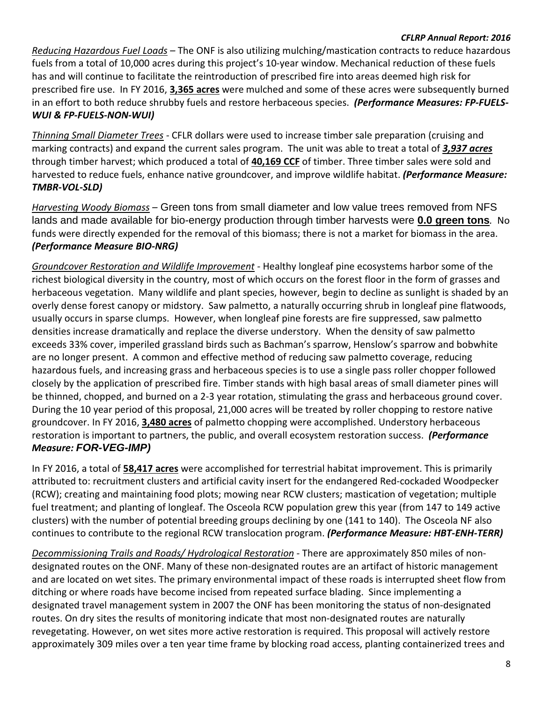*Reducing Hazardous Fuel Loads –* The ONF is also utilizing mulching/mastication contracts to reduce hazardous fuels from a total of 10,000 acres during this project's 10-year window. Mechanical reduction of these fuels has and will continue to facilitate the reintroduction of prescribed fire into areas deemed high risk for prescribed fire use. In FY 2016, **3,365 acres** were mulched and some of these acres were subsequently burned in an effort to both reduce shrubby fuels and restore herbaceous species. *(Performance Measures: FP-FUELS-WUI & FP-FUELS-NON-WUI)*

*Thinning Small Diameter Trees -* CFLR dollars were used to increase timber sale preparation (cruising and marking contracts) and expand the current sales program. The unit was able to treat a total of *3,937 acres* through timber harvest; which produced a total of **40,169 CCF** of timber. Three timber sales were sold and harvested to reduce fuels, enhance native groundcover, and improve wildlife habitat. *(Performance Measure: TMBR-VOL-SLD)*

*Harvesting Woody Biomass –* Green tons from small diameter and low value trees removed from NFS lands and made available for bio-energy production through timber harvests were **0.0 green tons***.* No funds were directly expended for the removal of this biomass; there is not a market for biomass in the area. *(Performance Measure BIO-NRG)*

*Groundcover Restoration and Wildlife Improvement -* Healthy longleaf pine ecosystems harbor some of the richest biological diversity in the country, most of which occurs on the forest floor in the form of grasses and herbaceous vegetation. Many wildlife and plant species, however, begin to decline as sunlight is shaded by an overly dense forest canopy or midstory. Saw palmetto, a naturally occurring shrub in longleaf pine flatwoods, usually occurs in sparse clumps. However, when longleaf pine forests are fire suppressed, saw palmetto densities increase dramatically and replace the diverse understory. When the density of saw palmetto exceeds 33% cover, imperiled grassland birds such as Bachman's sparrow, Henslow's sparrow and bobwhite are no longer present. A common and effective method of reducing saw palmetto coverage, reducing hazardous fuels, and increasing grass and herbaceous species is to use a single pass roller chopper followed closely by the application of prescribed fire. Timber stands with high basal areas of small diameter pines will be thinned, chopped, and burned on a 2-3 year rotation, stimulating the grass and herbaceous ground cover. During the 10 year period of this proposal, 21,000 acres will be treated by roller chopping to restore native groundcover. In FY 2016, **3,480 acres** of palmetto chopping were accomplished. Understory herbaceous restoration is important to partners, the public, and overall ecosystem restoration success. *(Performance Measure: FOR-VEG-IMP)*

In FY 2016, a total of **58,417 acres** were accomplished for terrestrial habitat improvement. This is primarily attributed to: recruitment clusters and artificial cavity insert for the endangered Red-cockaded Woodpecker (RCW); creating and maintaining food plots; mowing near RCW clusters; mastication of vegetation; multiple fuel treatment; and planting of longleaf. The Osceola RCW population grew this year (from 147 to 149 active clusters) with the number of potential breeding groups declining by one (141 to 140). The Osceola NF also continues to contribute to the regional RCW translocation program. *(Performance Measure: HBT-ENH-TERR)*

*Decommissioning Trails and Roads/ Hydrological Restoration -* There are approximately 850 miles of nondesignated routes on the ONF. Many of these non-designated routes are an artifact of historic management and are located on wet sites. The primary environmental impact of these roads is interrupted sheet flow from ditching or where roads have become incised from repeated surface blading. Since implementing a designated travel management system in 2007 the ONF has been monitoring the status of non-designated routes. On dry sites the results of monitoring indicate that most non-designated routes are naturally revegetating. However, on wet sites more active restoration is required. This proposal will actively restore approximately 309 miles over a ten year time frame by blocking road access, planting containerized trees and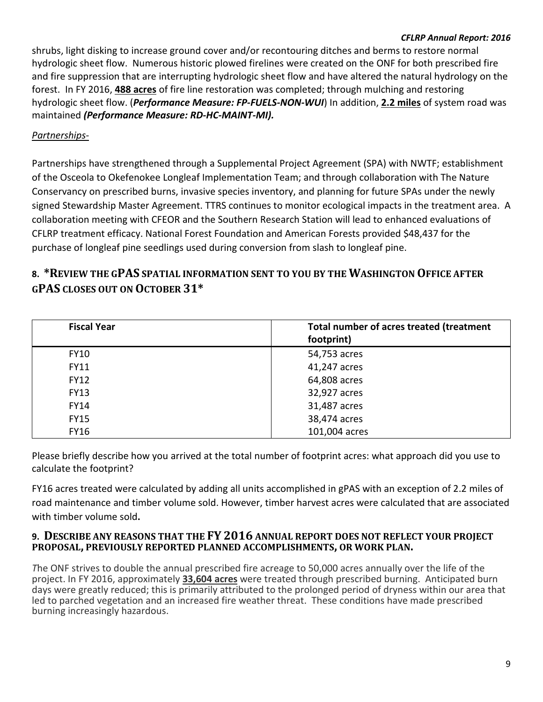shrubs, light disking to increase ground cover and/or recontouring ditches and berms to restore normal hydrologic sheet flow. Numerous historic plowed firelines were created on the ONF for both prescribed fire and fire suppression that are interrupting hydrologic sheet flow and have altered the natural hydrology on the forest. In FY 2016, **488 acres** of fire line restoration was completed; through mulching and restoring hydrologic sheet flow. (*Performance Measure: FP-FUELS-NON-WUI*) In addition, **2.2 miles** of system road was maintained *(Performance Measure: RD-HC-MAINT-MI).*

### *Partnerships-*

Partnerships have strengthened through a Supplemental Project Agreement (SPA) with NWTF; establishment of the Osceola to Okefenokee Longleaf Implementation Team; and through collaboration with The Nature Conservancy on prescribed burns, invasive species inventory, and planning for future SPAs under the newly signed Stewardship Master Agreement. TTRS continues to monitor ecological impacts in the treatment area. A collaboration meeting with CFEOR and the Southern Research Station will lead to enhanced evaluations of CFLRP treatment efficacy. National Forest Foundation and American Forests provided \$48,437 for the purchase of longleaf pine seedlings used during conversion from slash to longleaf pine.

### **8. \*REVIEW THE GPAS SPATIAL INFORMATION SENT TO YOU BY THE WASHINGTON OFFICE AFTER GPAS CLOSES OUT ON OCTOBER 31\***

| <b>Fiscal Year</b> | Total number of acres treated (treatment<br>footprint) |
|--------------------|--------------------------------------------------------|
| <b>FY10</b>        | 54,753 acres                                           |
| <b>FY11</b>        | 41,247 acres                                           |
| <b>FY12</b>        | 64,808 acres                                           |
| <b>FY13</b>        | 32,927 acres                                           |
| <b>FY14</b>        | 31,487 acres                                           |
| <b>FY15</b>        | 38,474 acres                                           |
| <b>FY16</b>        | 101,004 acres                                          |

Please briefly describe how you arrived at the total number of footprint acres: what approach did you use to calculate the footprint?

FY16 acres treated were calculated by adding all units accomplished in gPAS with an exception of 2.2 miles of road maintenance and timber volume sold. However, timber harvest acres were calculated that are associated with timber volume sold**.** 

#### **9. DESCRIBE ANY REASONS THAT THE FY 2016 ANNUAL REPORT DOES NOT REFLECT YOUR PROJECT PROPOSAL, PREVIOUSLY REPORTED PLANNED ACCOMPLISHMENTS, OR WORK PLAN.**

*T*he ONF strives to double the annual prescribed fire acreage to 50,000 acres annually over the life of the project. In FY 2016, approximately **33,604 acres** were treated through prescribed burning. Anticipated burn days were greatly reduced; this is primarily attributed to the prolonged period of dryness within our area that led to parched vegetation and an increased fire weather threat. These conditions have made prescribed burning increasingly hazardous.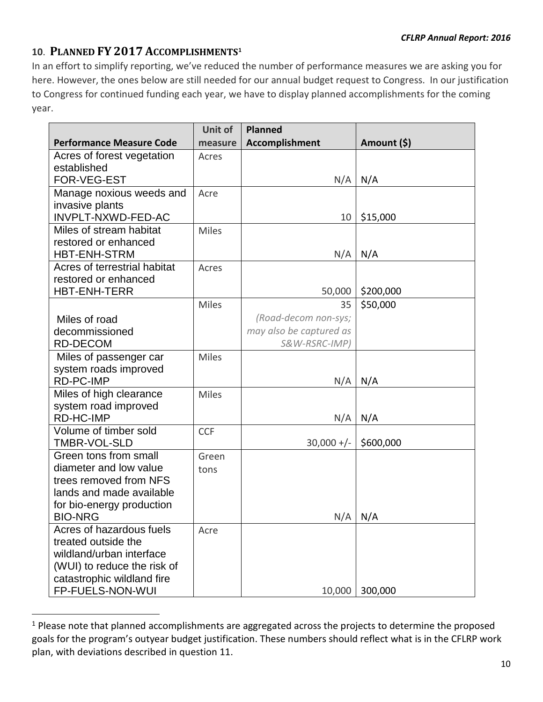## **10**. **PLANNED FY 2017 ACCOMPLISHMENTS[1](#page-9-0)**

In an effort to simplify reporting, we've reduced the number of performance measures we are asking you for here. However, the ones below are still needed for our annual budget request to Congress. In our justification to Congress for continued funding each year, we have to display planned accomplishments for the coming year.

|                                          | Unit of      | <b>Planned</b>          |             |
|------------------------------------------|--------------|-------------------------|-------------|
| <b>Performance Measure Code</b>          | measure      | Accomplishment          | Amount (\$) |
| Acres of forest vegetation               | Acres        |                         |             |
| established                              |              |                         |             |
| <b>FOR-VEG-EST</b>                       |              | N/A                     | N/A         |
| Manage noxious weeds and                 | Acre         |                         |             |
| invasive plants                          |              |                         |             |
| INVPLT-NXWD-FED-AC                       |              | 10                      | \$15,000    |
| Miles of stream habitat                  | <b>Miles</b> |                         |             |
| restored or enhanced                     |              |                         |             |
| <b>HBT-ENH-STRM</b>                      |              | N/A                     | N/A         |
| Acres of terrestrial habitat             | Acres        |                         |             |
| restored or enhanced                     |              |                         |             |
| <b>HBT-ENH-TERR</b>                      |              | 50,000                  | \$200,000   |
|                                          | <b>Miles</b> | 35                      | \$50,000    |
| Miles of road                            |              | (Road-decom non-sys;    |             |
| decommissioned                           |              | may also be captured as |             |
| <b>RD-DECOM</b>                          |              | S&W-RSRC-IMP)           |             |
| Miles of passenger car                   | <b>Miles</b> |                         |             |
| system roads improved                    |              |                         |             |
| <b>RD-PC-IMP</b>                         |              | N/A                     | N/A         |
| Miles of high clearance                  | <b>Miles</b> |                         |             |
| system road improved<br><b>RD-HC-IMP</b> |              |                         |             |
|                                          |              | N/A                     | N/A         |
| Volume of timber sold<br>TMBR-VOL-SLD    | <b>CCF</b>   | $30,000 +/-$            | \$600,000   |
| Green tons from small                    | Green        |                         |             |
| diameter and low value                   | tons         |                         |             |
| trees removed from NFS                   |              |                         |             |
| lands and made available                 |              |                         |             |
| for bio-energy production                |              |                         |             |
| <b>BIO-NRG</b>                           |              |                         | $N/A$ $N/A$ |
| Acres of hazardous fuels                 | Acre         |                         |             |
| treated outside the                      |              |                         |             |
| wildland/urban interface                 |              |                         |             |
| (WUI) to reduce the risk of              |              |                         |             |
| catastrophic wildland fire               |              |                         |             |
| FP-FUELS-NON-WUI                         |              | 10,000                  | 300,000     |

<span id="page-9-0"></span><sup>&</sup>lt;sup>1</sup> Please note that planned accomplishments are aggregated across the projects to determine the proposed goals for the program's outyear budget justification. These numbers should reflect what is in the CFLRP work plan, with deviations described in question 11.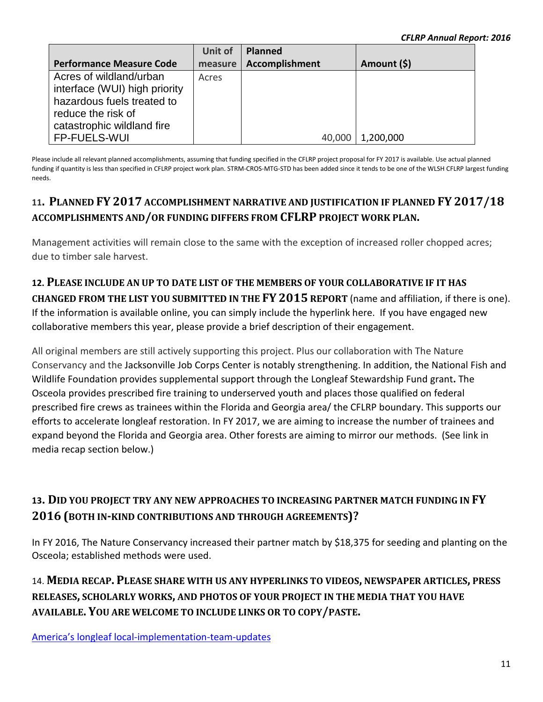|                                 | Unit of | <b>Planned</b> |             |
|---------------------------------|---------|----------------|-------------|
| <b>Performance Measure Code</b> | measure | Accomplishment | Amount (\$) |
| Acres of wildland/urban         | Acres   |                |             |
| interface (WUI) high priority   |         |                |             |
| hazardous fuels treated to      |         |                |             |
| reduce the risk of              |         |                |             |
| catastrophic wildland fire      |         |                |             |
| <b>FP-FUELS-WUI</b>             |         | 40,000         | 1,200,000   |

Please include all relevant planned accomplishments, assuming that funding specified in the CFLRP project proposal for FY 2017 is available. Use actual planned funding if quantity is less than specified in CFLRP project work plan. STRM-CROS-MTG-STD has been added since it tends to be one of the WLSH CFLRP largest funding needs.

# **11. PLANNED FY 2017 ACCOMPLISHMENT NARRATIVE AND JUSTIFICATION IF PLANNED FY 2017/18 ACCOMPLISHMENTS AND/OR FUNDING DIFFERS FROM CFLRP PROJECT WORK PLAN.**

Management activities will remain close to the same with the exception of increased roller chopped acres; due to timber sale harvest.

**12. PLEASE INCLUDE AN UP TO DATE LIST OF THE MEMBERS OF YOUR COLLABORATIVE IF IT HAS CHANGED FROM THE LIST YOU SUBMITTED IN THE FY 2015 REPORT** (name and affiliation, if there is one). If the information is available online, you can simply include the hyperlink here. If you have engaged new collaborative members this year, please provide a brief description of their engagement.

All original members are still actively supporting this project. Plus our collaboration with The Nature Conservancy and the Jacksonville Job Corps Center is notably strengthening. In addition, the National Fish and Wildlife Foundation provides supplemental support through the Longleaf Stewardship Fund grant**.** The Osceola provides prescribed fire training to underserved youth and places those qualified on federal prescribed fire crews as trainees within the Florida and Georgia area/ the CFLRP boundary. This supports our efforts to accelerate longleaf restoration. In FY 2017, we are aiming to increase the number of trainees and expand beyond the Florida and Georgia area. Other forests are aiming to mirror our methods. (See link in media recap section below.)

# **13. DID YOU PROJECT TRY ANY NEW APPROACHES TO INCREASING PARTNER MATCH FUNDING IN FY 2016 (BOTH IN-KIND CONTRIBUTIONS AND THROUGH AGREEMENTS)?**

In FY 2016, The Nature Conservancy increased their partner match by \$18,375 for seeding and planting on the Osceola; established methods were used.

# 14. **MEDIA RECAP. PLEASE SHARE WITH US ANY HYPERLINKS TO VIDEOS, NEWSPAPER ARTICLES, PRESS RELEASES, SCHOLARLY WORKS, AND PHOTOS OF YOUR PROJECT IN THE MEDIA THAT YOU HAVE AVAILABLE. YOU ARE WELCOME TO INCLUDE LINKS OR TO COPY/PASTE.**

[America's longleaf local-implementation-team-updates](http://americaslongleaf.org/news/news-articles/local-implementation-team-updates-spring-2016/okefenokee-and-osceola-local-implementation-team-update/)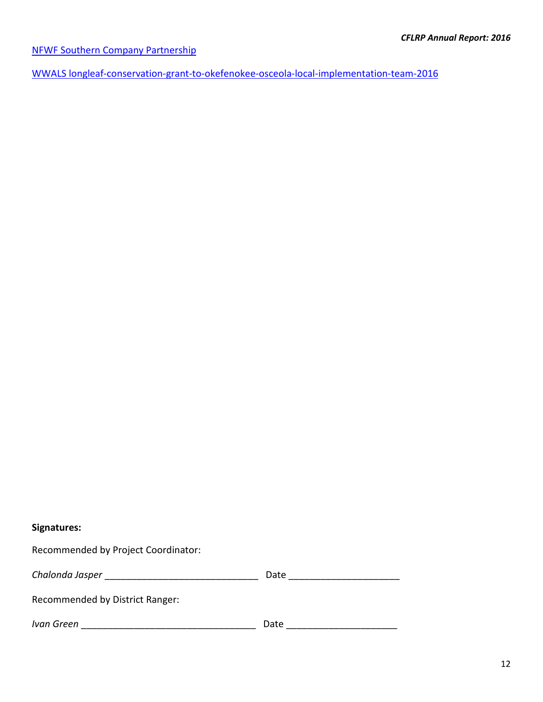[NFWF Southern Company Partnership](http://www.nfwf.org/partnerships/corporate/southerncompany/Pages/2016-Southern-Company-Partnership-Meeting.aspx)

[WWALS longleaf-conservation-grant-to-okefenokee-osceola-local-implementation-team-2016](http://www.wwals.net/2016/07/11/southern-company-awards-longleaf-conservation-grant-to-okefenokee-osceola-local-implementation-team-2016-07-06/)

| Signatures:                         |      |  |  |  |
|-------------------------------------|------|--|--|--|
| Recommended by Project Coordinator: |      |  |  |  |
|                                     | Date |  |  |  |
| Recommended by District Ranger:     |      |  |  |  |
| Ivan Green                          | Date |  |  |  |